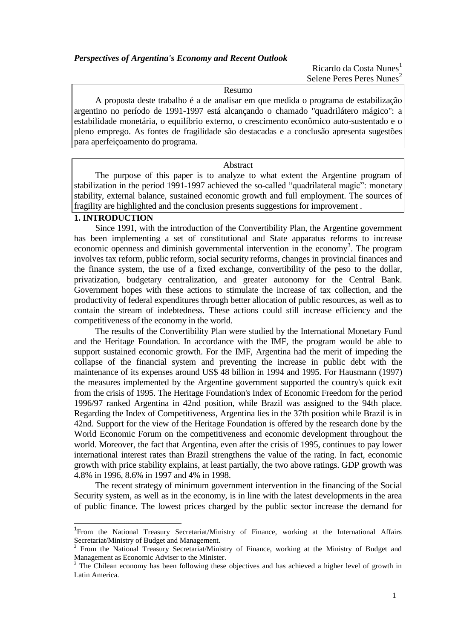Ricardo da Costa Nunes<sup>1</sup> Selene Peres Peres Nunes<sup>2</sup>

Resumo

A proposta deste trabalho é a de analisar em que medida o programa de estabilização argentino no período de 1991-1997 está alcançando o chamado ''quadrilátero mágico'': a estabilidade monetária, o equilíbrio externo, o crescimento econômico auto-sustentado e o pleno emprego. As fontes de fragilidade são destacadas e a conclusão apresenta sugestões para aperfeiçoamento do programa.

### Abstract

The purpose of this paper is to analyze to what extent the Argentine program of stabilization in the period 1991-1997 achieved the so-called "quadrilateral magic": monetary stability, external balance, sustained economic growth and full employment. The sources of fragility are highlighted and the conclusion presents suggestions for improvement .

## **1. INTRODUCTION**

l

Since 1991, with the introduction of the Convertibility Plan, the Argentine government has been implementing a set of constitutional and State apparatus reforms to increase economic openness and diminish governmental intervention in the economy<sup>3</sup>. The program involves tax reform, public reform, social security reforms, changes in provincial finances and the finance system, the use of a fixed exchange, convertibility of the peso to the dollar, privatization, budgetary centralization, and greater autonomy for the Central Bank. Government hopes with these actions to stimulate the increase of tax collection, and the productivity of federal expenditures through better allocation of public resources, as well as to contain the stream of indebtedness. These actions could still increase efficiency and the competitiveness of the economy in the world.

The results of the Convertibility Plan were studied by the International Monetary Fund and the Heritage Foundation. In accordance with the IMF, the program would be able to support sustained economic growth. For the IMF, Argentina had the merit of impeding the collapse of the financial system and preventing the increase in public debt with the maintenance of its expenses around US\$ 48 billion in 1994 and 1995. For Hausmann (1997) the measures implemented by the Argentine government supported the country's quick exit from the crisis of 1995. The Heritage Foundation's Index of Economic Freedom for the period 1996/97 ranked Argentina in 42nd position, while Brazil was assigned to the 94th place. Regarding the Index of Competitiveness, Argentina lies in the 37th position while Brazil is in 42nd. Support for the view of the Heritage Foundation is offered by the research done by the World Economic Forum on the competitiveness and economic development throughout the world. Moreover, the fact that Argentina, even after the crisis of 1995, continues to pay lower international interest rates than Brazil strengthens the value of the rating. In fact, economic growth with price stability explains, at least partially, the two above ratings. GDP growth was 4.8% in 1996, 8.6% in 1997 and 4% in 1998.

The recent strategy of minimum government intervention in the financing of the Social Security system, as well as in the economy, is in line with the latest developments in the area of public finance. The lowest prices charged by the public sector increase the demand for

<sup>&</sup>lt;sup>1</sup>From the National Treasury Secretariat/Ministry of Finance, working at the International Affairs Secretariat/Ministry of Budget and Management.

<sup>2</sup> From the National Treasury Secretariat/Ministry of Finance, working at the Ministry of Budget and Management as Economic Adviser to the Minister.

<sup>&</sup>lt;sup>3</sup> The Chilean economy has been following these objectives and has achieved a higher level of growth in Latin America.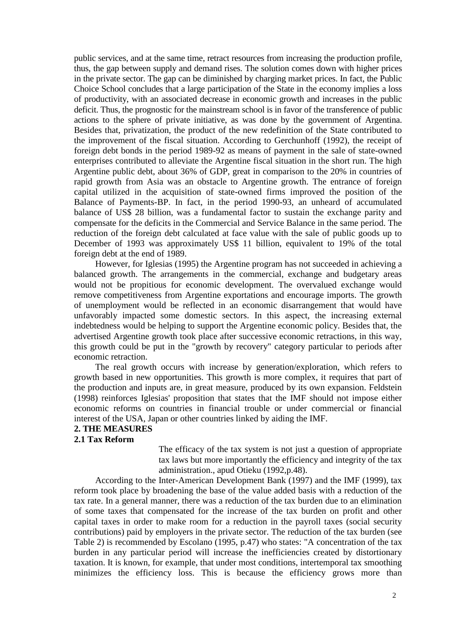public services, and at the same time, retract resources from increasing the production profile, thus, the gap between supply and demand rises. The solution comes down with higher prices in the private sector. The gap can be diminished by charging market prices. In fact, the Public Choice School concludes that a large participation of the State in the economy implies a loss of productivity, with an associated decrease in economic growth and increases in the public deficit. Thus, the prognostic for the mainstream school is in favor of the transference of public actions to the sphere of private initiative, as was done by the government of Argentina. Besides that, privatization, the product of the new redefinition of the State contributed to the improvement of the fiscal situation. According to Gerchunhoff (1992), the receipt of foreign debt bonds in the period 1989-92 as means of payment in the sale of state-owned enterprises contributed to alleviate the Argentine fiscal situation in the short run. The high Argentine public debt, about 36% of GDP, great in comparison to the 20% in countries of rapid growth from Asia was an obstacle to Argentine growth. The entrance of foreign capital utilized in the acquisition of state-owned firms improved the position of the Balance of Payments-BP. In fact, in the period 1990-93, an unheard of accumulated balance of US\$ 28 billion, was a fundamental factor to sustain the exchange parity and compensate for the deficits in the Commercial and Service Balance in the same period. The reduction of the foreign debt calculated at face value with the sale of public goods up to December of 1993 was approximately US\$ 11 billion, equivalent to 19% of the total foreign debt at the end of 1989.

However, for Iglesias (1995) the Argentine program has not succeeded in achieving a balanced growth. The arrangements in the commercial, exchange and budgetary areas would not be propitious for economic development. The overvalued exchange would remove competitiveness from Argentine exportations and encourage imports. The growth of unemployment would be reflected in an economic disarrangement that would have unfavorably impacted some domestic sectors. In this aspect, the increasing external indebtedness would be helping to support the Argentine economic policy. Besides that, the advertised Argentine growth took place after successive economic retractions, in this way, this growth could be put in the "growth by recovery" category particular to periods after economic retraction.

The real growth occurs with increase by generation/exploration, which refers to growth based in new opportunities. This growth is more complex, it requires that part of the production and inputs are, in great measure, produced by its own expansion. Feldstein (1998) reinforces Iglesias' proposition that states that the IMF should not impose either economic reforms on countries in financial trouble or under commercial or financial interest of the USA, Japan or other countries linked by aiding the IMF.

# **2. THE MEASURES**

### **2.1 Tax Reform**

The efficacy of the tax system is not just a question of appropriate tax laws but more importantly the efficiency and integrity of the tax administration., apud Otieku (1992,p.48).

According to the Inter-American Development Bank (1997) and the IMF (1999), tax reform took place by broadening the base of the value added basis with a reduction of the tax rate. In a general manner, there was a reduction of the tax burden due to an elimination of some taxes that compensated for the increase of the tax burden on profit and other capital taxes in order to make room for a reduction in the payroll taxes (social security contributions) paid by employers in the private sector. The reduction of the tax burden (see Table 2) is recommended by Escolano (1995, p.47) who states: "A concentration of the tax burden in any particular period will increase the inefficiencies created by distortionary taxation. It is known, for example, that under most conditions, intertemporal tax smoothing minimizes the efficiency loss. This is because the efficiency grows more than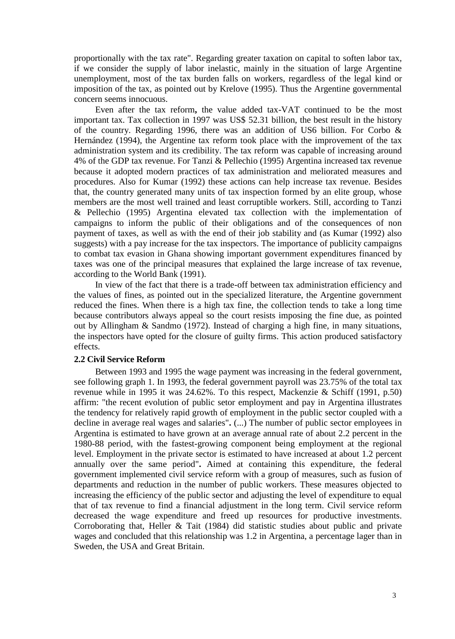proportionally with the tax rate". Regarding greater taxation on capital to soften labor tax, if we consider the supply of labor inelastic, mainly in the situation of large Argentine unemployment, most of the tax burden falls on workers, regardless of the legal kind or imposition of the tax, as pointed out by Krelove (1995). Thus the Argentine governmental concern seems innocuous.

Even after the tax reform**,** the value added tax-VAT continued to be the most important tax. Tax collection in 1997 was US\$ 52.31 billion, the best result in the history of the country. Regarding 1996, there was an addition of US6 billion. For Corbo  $\&$ Hernández (1994), the Argentine tax reform took place with the improvement of the tax administration system and its credibility. The tax reform was capable of increasing around 4% of the GDP tax revenue. For Tanzi & Pellechio (1995) Argentina increased tax revenue because it adopted modern practices of tax administration and meliorated measures and procedures. Also for Kumar (1992) these actions can help increase tax revenue. Besides that, the country generated many units of tax inspection formed by an elite group, whose members are the most well trained and least corruptible workers. Still, according to Tanzi & Pellechio (1995) Argentina elevated tax collection with the implementation of campaigns to inform the public of their obligations and of the consequences of non payment of taxes, as well as with the end of their job stability and (as Kumar (1992) also suggests) with a pay increase for the tax inspectors. The importance of publicity campaigns to combat tax evasion in Ghana showing important government expenditures financed by taxes was one of the principal measures that explained the large increase of tax revenue, according to the World Bank (1991).

In view of the fact that there is a trade-off between tax administration efficiency and the values of fines, as pointed out in the specialized literature, the Argentine government reduced the fines. When there is a high tax fine, the collection tends to take a long time because contributors always appeal so the court resists imposing the fine due, as pointed out by Allingham & Sandmo (1972). Instead of charging a high fine, in many situations, the inspectors have opted for the closure of guilty firms. This action produced satisfactory effects.

#### **2.2 Civil Service Reform**

Between 1993 and 1995 the wage payment was increasing in the federal government, see following graph 1. In 1993, the federal government payroll was 23.75% of the total tax revenue while in 1995 it was 24.62%. To this respect, Mackenzie & Schiff (1991, p.50) affirm: "the recent evolution of public setor employment and pay in Argentina illustrates the tendency for relatively rapid growth of employment in the public sector coupled with a decline in average real wages and salaries"**.** (...) The number of public sector employees in Argentina is estimated to have grown at an average annual rate of about 2.2 percent in the 1980-88 period, with the fastest-growing component being employment at the regional level. Employment in the private sector is estimated to have increased at about 1.2 percent annually over the same period"**.** Aimed at containing this expenditure, the federal government implemented civil service reform with a group of measures, such as fusion of departments and reduction in the number of public workers. These measures objected to increasing the efficiency of the public sector and adjusting the level of expenditure to equal that of tax revenue to find a financial adjustment in the long term. Civil service reform decreased the wage expenditure and freed up resources for productive investments. Corroborating that, Heller & Tait (1984) did statistic studies about public and private wages and concluded that this relationship was 1.2 in Argentina, a percentage lager than in Sweden, the USA and Great Britain.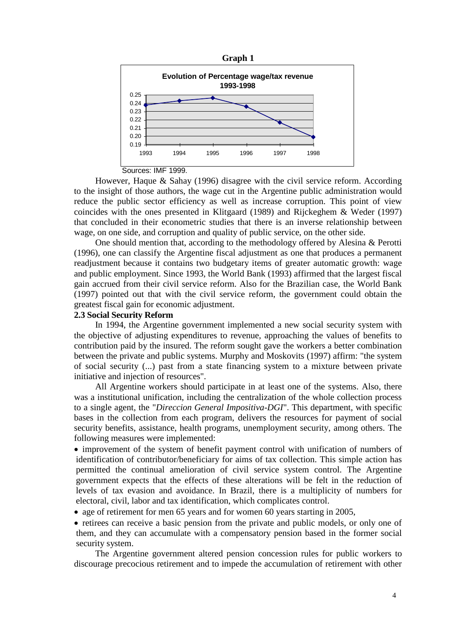



However, Haque & Sahay (1996) disagree with the civil service reform. According to the insight of those authors, the wage cut in the Argentine public administration would reduce the public sector efficiency as well as increase corruption. This point of view coincides with the ones presented in Klitgaard (1989) and Rijckeghem & Weder (1997) that concluded in their econometric studies that there is an inverse relationship between wage, on one side, and corruption and quality of public service, on the other side.

One should mention that, according to the methodology offered by Alesina & Perotti (1996), one can classify the Argentine fiscal adjustment as one that produces a permanent readjustment because it contains two budgetary items of greater automatic growth: wage and public employment. Since 1993, the World Bank (1993) affirmed that the largest fiscal gain accrued from their civil service reform. Also for the Brazilian case, the World Bank (1997) pointed out that with the civil service reform, the government could obtain the greatest fiscal gain for economic adjustment.

### **2.3 Social Security Reform**

In 1994, the Argentine government implemented a new social security system with the objective of adjusting expenditures to revenue, approaching the values of benefits to contribution paid by the insured. The reform sought gave the workers a better combination between the private and public systems. Murphy and Moskovits (1997) affirm: "the system of social security (...) past from a state financing system to a mixture between private initiative and injection of resources".

All Argentine workers should participate in at least one of the systems. Also, there was a institutional unification, including the centralization of the whole collection process to a single agent, the "*Direccion General Impositiva-DGI*". This department, with specific bases in the collection from each program, delivers the resources for payment of social security benefits, assistance, health programs, unemployment security, among others. The following measures were implemented:

• improvement of the system of benefit payment control with unification of numbers of identification of contributor/beneficiary for aims of tax collection. This simple action has permitted the continual amelioration of civil service system control. The Argentine government expects that the effects of these alterations will be felt in the reduction of levels of tax evasion and avoidance. In Brazil, there is a multiplicity of numbers for electoral, civil, labor and tax identification, which complicates control.

• age of retirement for men 65 years and for women 60 years starting in 2005,

• retirees can receive a basic pension from the private and public models, or only one of them, and they can accumulate with a compensatory pension based in the former social security system.

The Argentine government altered pension concession rules for public workers to discourage precocious retirement and to impede the accumulation of retirement with other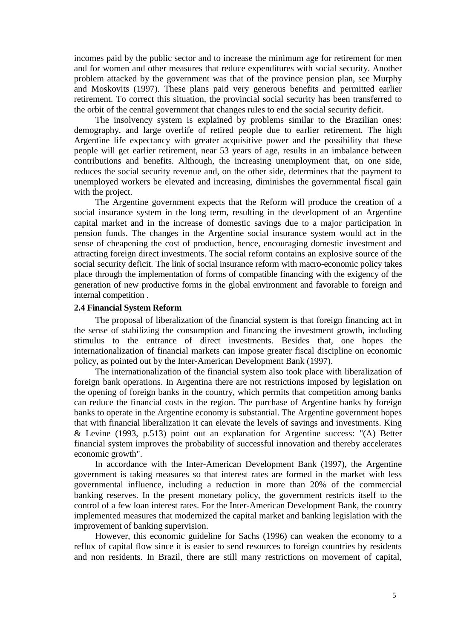incomes paid by the public sector and to increase the minimum age for retirement for men and for women and other measures that reduce expenditures with social security. Another problem attacked by the government was that of the province pension plan, see Murphy and Moskovits (1997). These plans paid very generous benefits and permitted earlier retirement. To correct this situation, the provincial social security has been transferred to the orbit of the central government that changes rules to end the social security deficit.

The insolvency system is explained by problems similar to the Brazilian ones: demography, and large overlife of retired people due to earlier retirement. The high Argentine life expectancy with greater acquisitive power and the possibility that these people will get earlier retirement, near 53 years of age, results in an imbalance between contributions and benefits. Although, the increasing unemployment that, on one side, reduces the social security revenue and, on the other side, determines that the payment to unemployed workers be elevated and increasing, diminishes the governmental fiscal gain with the project.

The Argentine government expects that the Reform will produce the creation of a social insurance system in the long term, resulting in the development of an Argentine capital market and in the increase of domestic savings due to a major participation in pension funds. The changes in the Argentine social insurance system would act in the sense of cheapening the cost of production, hence, encouraging domestic investment and attracting foreign direct investments. The social reform contains an explosive source of the social security deficit. The link of social insurance reform with macro-economic policy takes place through the implementation of forms of compatible financing with the exigency of the generation of new productive forms in the global environment and favorable to foreign and internal competition .

### **2.4 Financial System Reform**

The proposal of liberalization of the financial system is that foreign financing act in the sense of stabilizing the consumption and financing the investment growth, including stimulus to the entrance of direct investments. Besides that, one hopes the internationalization of financial markets can impose greater fiscal discipline on economic policy, as pointed out by the Inter-American Development Bank (1997).

The internationalization of the financial system also took place with liberalization of foreign bank operations. In Argentina there are not restrictions imposed by legislation on the opening of foreign banks in the country, which permits that competition among banks can reduce the financial costs in the region. The purchase of Argentine banks by foreign banks to operate in the Argentine economy is substantial. The Argentine government hopes that with financial liberalization it can elevate the levels of savings and investments. King & Levine (1993, p.513) point out an explanation for Argentine success: "(A) Better financial system improves the probability of successful innovation and thereby accelerates economic growth".

In accordance with the Inter-American Development Bank (1997), the Argentine government is taking measures so that interest rates are formed in the market with less governmental influence, including a reduction in more than 20% of the commercial banking reserves. In the present monetary policy, the government restricts itself to the control of a few loan interest rates. For the Inter-American Development Bank, the country implemented measures that modernized the capital market and banking legislation with the improvement of banking supervision.

However, this economic guideline for Sachs (1996) can weaken the economy to a reflux of capital flow since it is easier to send resources to foreign countries by residents and non residents. In Brazil, there are still many restrictions on movement of capital,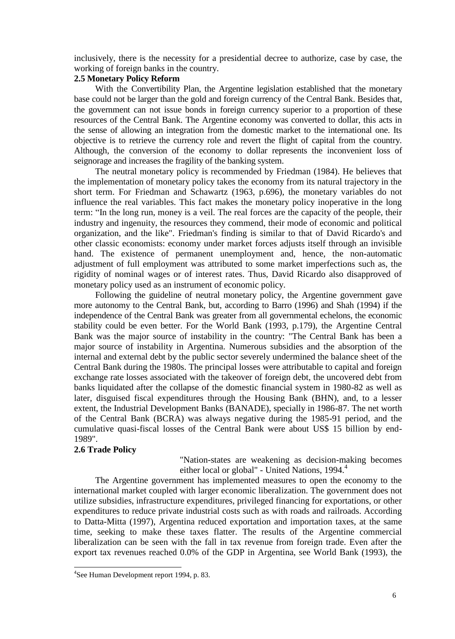inclusively, there is the necessity for a presidential decree to authorize, case by case, the working of foreign banks in the country.

# **2.5 Monetary Policy Reform**

With the Convertibility Plan, the Argentine legislation established that the monetary base could not be larger than the gold and foreign currency of the Central Bank. Besides that, the government can not issue bonds in foreign currency superior to a proportion of these resources of the Central Bank. The Argentine economy was converted to dollar, this acts in the sense of allowing an integration from the domestic market to the international one. Its objective is to retrieve the currency role and revert the flight of capital from the country. Although, the conversion of the economy to dollar represents the inconvenient loss of seignorage and increases the fragility of the banking system.

The neutral monetary policy is recommended by Friedman (1984). He believes that the implementation of monetary policy takes the economy from its natural trajectory in the short term. For Friedman and Schawartz (1963, p.696), the monetary variables do not influence the real variables. This fact makes the monetary policy inoperative in the long term: "In the long run, money is a veil. The real forces are the capacity of the people, their industry and ingenuity, the resources they commend, their mode of economic and political organization, and the like". Friedman's finding is similar to that of David Ricardo's and other classic economists: economy under market forces adjusts itself through an invisible hand. The existence of permanent unemployment and, hence, the non-automatic adjustment of full employment was attributed to some market imperfections such as, the rigidity of nominal wages or of interest rates. Thus, David Ricardo also disapproved of monetary policy used as an instrument of economic policy.

Following the guideline of neutral monetary policy, the Argentine government gave more autonomy to the Central Bank, but, according to Barro (1996) and Shah (1994) if the independence of the Central Bank was greater from all governmental echelons, the economic stability could be even better. For the World Bank (1993, p.179), the Argentine Central Bank was the major source of instability in the country: "The Central Bank has been a major source of instability in Argentina. Numerous subsidies and the absorption of the internal and external debt by the public sector severely undermined the balance sheet of the Central Bank during the 1980s. The principal losses were attributable to capital and foreign exchange rate losses associated with the takeover of foreign debt, the uncovered debt from banks liquidated after the collapse of the domestic financial system in 1980-82 as well as later, disguised fiscal expenditures through the Housing Bank (BHN), and, to a lesser extent, the Industrial Development Banks (BANADE), specially in 1986-87. The net worth of the Central Bank (BCRA) was always negative during the 1985-91 period, and the cumulative quasi-fiscal losses of the Central Bank were about US\$ 15 billion by end-1989".

### **2.6 Trade Policy**

l

"Nation-states are weakening as decision-making becomes either local or global" - United Nations, 1994.<sup>4</sup>

The Argentine government has implemented measures to open the economy to the international market coupled with larger economic liberalization. The government does not utilize subsidies, infrastructure expenditures, privileged financing for exportations, or other expenditures to reduce private industrial costs such as with roads and railroads. According to Datta-Mitta (1997), Argentina reduced exportation and importation taxes, at the same time, seeking to make these taxes flatter. The results of the Argentine commercial liberalization can be seen with the fall in tax revenue from foreign trade. Even after the export tax revenues reached 0.0% of the GDP in Argentina, see World Bank (1993), the

<sup>4</sup> See Human Development report 1994, p. 83.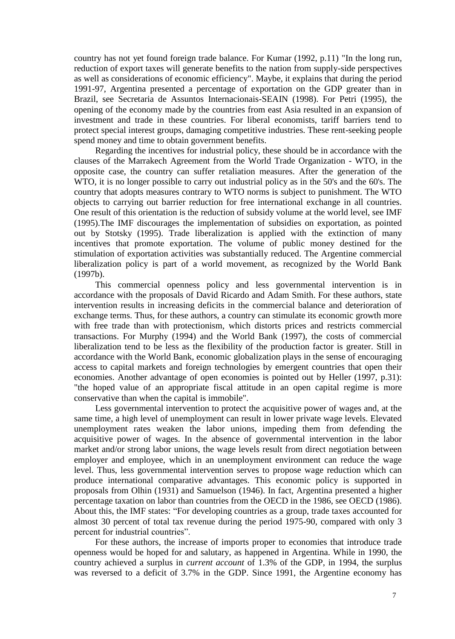country has not yet found foreign trade balance. For Kumar (1992, p.11) "In the long run, reduction of export taxes will generate benefits to the nation from supply-side perspectives as well as considerations of economic efficiency". Maybe, it explains that during the period 1991-97, Argentina presented a percentage of exportation on the GDP greater than in Brazil, see Secretaria de Assuntos Internacionais-SEAIN (1998). For Petri (1995), the opening of the economy made by the countries from east Asia resulted in an expansion of investment and trade in these countries. For liberal economists, tariff barriers tend to protect special interest groups, damaging competitive industries. These rent-seeking people spend money and time to obtain government benefits.

Regarding the incentives for industrial policy, these should be in accordance with the clauses of the Marrakech Agreement from the World Trade Organization - WTO, in the opposite case, the country can suffer retaliation measures. After the generation of the WTO, it is no longer possible to carry out industrial policy as in the 50's and the 60's. The country that adopts measures contrary to WTO norms is subject to punishment. The WTO objects to carrying out barrier reduction for free international exchange in all countries. One result of this orientation is the reduction of subsidy volume at the world level, see IMF (1995).The IMF discourages the implementation of subsidies on exportation, as pointed out by Stotsky (1995). Trade liberalization is applied with the extinction of many incentives that promote exportation. The volume of public money destined for the stimulation of exportation activities was substantially reduced. The Argentine commercial liberalization policy is part of a world movement, as recognized by the World Bank (1997b).

This commercial openness policy and less governmental intervention is in accordance with the proposals of David Ricardo and Adam Smith. For these authors, state intervention results in increasing deficits in the commercial balance and deterioration of exchange terms. Thus, for these authors, a country can stimulate its economic growth more with free trade than with protectionism, which distorts prices and restricts commercial transactions. For Murphy (1994) and the World Bank (1997), the costs of commercial liberalization tend to be less as the flexibility of the production factor is greater. Still in accordance with the World Bank, economic globalization plays in the sense of encouraging access to capital markets and foreign technologies by emergent countries that open their economies. Another advantage of open economies is pointed out by Heller (1997, p.31): "the hoped value of an appropriate fiscal attitude in an open capital regime is more conservative than when the capital is immobile".

Less governmental intervention to protect the acquisitive power of wages and, at the same time, a high level of unemployment can result in lower private wage levels. Elevated unemployment rates weaken the labor unions, impeding them from defending the acquisitive power of wages. In the absence of governmental intervention in the labor market and/or strong labor unions, the wage levels result from direct negotiation between employer and employee, which in an unemployment environment can reduce the wage level. Thus, less governmental intervention serves to propose wage reduction which can produce international comparative advantages. This economic policy is supported in proposals from Olhin (1931) and Samuelson (1946). In fact, Argentina presented a higher percentage taxation on labor than countries from the OECD in the 1986, see OECD (1986). About this, the IMF states: "For developing countries as a group, trade taxes accounted for almost 30 percent of total tax revenue during the period 1975-90, compared with only 3 percent for industrial countries".

For these authors, the increase of imports proper to economies that introduce trade openness would be hoped for and salutary, as happened in Argentina. While in 1990, the country achieved a surplus in *current account* of 1.3% of the GDP, in 1994, the surplus was reversed to a deficit of 3.7% in the GDP. Since 1991, the Argentine economy has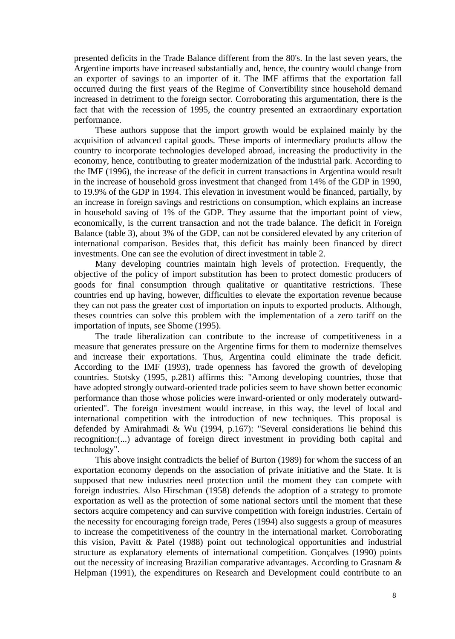presented deficits in the Trade Balance different from the 80's. In the last seven years, the Argentine imports have increased substantially and, hence, the country would change from an exporter of savings to an importer of it. The IMF affirms that the exportation fall occurred during the first years of the Regime of Convertibility since household demand increased in detriment to the foreign sector. Corroborating this argumentation, there is the fact that with the recession of 1995, the country presented an extraordinary exportation performance.

These authors suppose that the import growth would be explained mainly by the acquisition of advanced capital goods. These imports of intermediary products allow the country to incorporate technologies developed abroad, increasing the productivity in the economy, hence, contributing to greater modernization of the industrial park. According to the IMF (1996), the increase of the deficit in current transactions in Argentina would result in the increase of household gross investment that changed from 14% of the GDP in 1990, to 19.9% of the GDP in 1994. This elevation in investment would be financed, partially, by an increase in foreign savings and restrictions on consumption, which explains an increase in household saving of 1% of the GDP. They assume that the important point of view, economically, is the current transaction and not the trade balance. The deficit in Foreign Balance (table 3), about 3% of the GDP, can not be considered elevated by any criterion of international comparison. Besides that, this deficit has mainly been financed by direct investments. One can see the evolution of direct investment in table 2.

Many developing countries maintain high levels of protection. Frequently, the objective of the policy of import substitution has been to protect domestic producers of goods for final consumption through qualitative or quantitative restrictions. These countries end up having, however, difficulties to elevate the exportation revenue because they can not pass the greater cost of importation on inputs to exported products. Although, theses countries can solve this problem with the implementation of a zero tariff on the importation of inputs, see Shome (1995).

The trade liberalization can contribute to the increase of competitiveness in a measure that generates pressure on the Argentine firms for them to modernize themselves and increase their exportations. Thus, Argentina could eliminate the trade deficit. According to the IMF (1993), trade openness has favored the growth of developing countries. Stotsky (1995, p.281) affirms this: "Among developing countries, those that have adopted strongly outward-oriented trade policies seem to have shown better economic performance than those whose policies were inward-oriented or only moderately outwardoriented". The foreign investment would increase, in this way, the level of local and international competition with the introduction of new techniques. This proposal is defended by Amirahmadi & Wu (1994, p.167): "Several considerations lie behind this recognition:(...) advantage of foreign direct investment in providing both capital and technology".

This above insight contradicts the belief of Burton (1989) for whom the success of an exportation economy depends on the association of private initiative and the State. It is supposed that new industries need protection until the moment they can compete with foreign industries. Also Hirschman (1958) defends the adoption of a strategy to promote exportation as well as the protection of some national sectors until the moment that these sectors acquire competency and can survive competition with foreign industries. Certain of the necessity for encouraging foreign trade, Peres (1994) also suggests a group of measures to increase the competitiveness of the country in the international market. Corroborating this vision, Pavitt & Patel (1988) point out technological opportunities and industrial structure as explanatory elements of international competition. Gonçalves (1990) points out the necessity of increasing Brazilian comparative advantages. According to Grasnam & Helpman (1991), the expenditures on Research and Development could contribute to an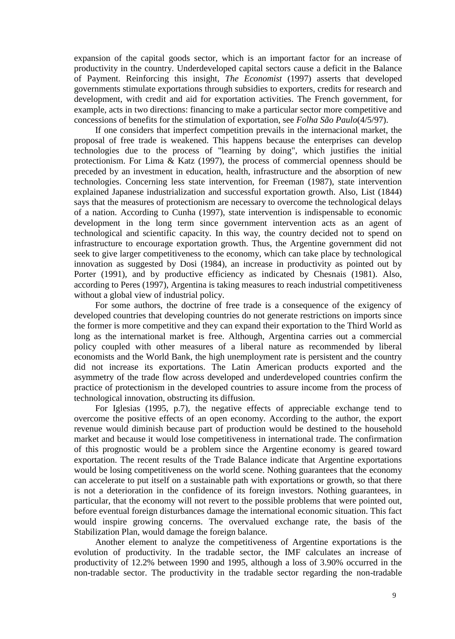expansion of the capital goods sector, which is an important factor for an increase of productivity in the country. Underdeveloped capital sectors cause a deficit in the Balance of Payment. Reinforcing this insight, *The Economist* (1997) asserts that developed governments stimulate exportations through subsidies to exporters, credits for research and development, with credit and aid for exportation activities. The French government, for example, acts in two directions: financing to make a particular sector more competitive and concessions of benefits for the stimulation of exportation, see *Folha São Paulo*(4/5/97).

If one considers that imperfect competition prevails in the internacional market, the proposal of free trade is weakened. This happens because the enterprises can develop technologies due to the process of "learning by doing", which justifies the initial protectionism. For Lima & Katz (1997), the process of commercial openness should be preceded by an investment in education, health, infrastructure and the absorption of new technologies. Concerning less state intervention, for Freeman (1987), state intervention explained Japanese industrialization and successful exportation growth. Also, List (1844) says that the measures of protectionism are necessary to overcome the technological delays of a nation. According to Cunha (1997), state intervention is indispensable to economic development in the long term since government intervention acts as an agent of technological and scientific capacity. In this way, the country decided not to spend on infrastructure to encourage exportation growth. Thus, the Argentine government did not seek to give larger competitiveness to the economy, which can take place by technological innovation as suggested by Dosi (1984), an increase in productivity as pointed out by Porter (1991), and by productive efficiency as indicated by Chesnais (1981). Also, according to Peres (1997), Argentina is taking measures to reach industrial competitiveness without a global view of industrial policy.

For some authors, the doctrine of free trade is a consequence of the exigency of developed countries that developing countries do not generate restrictions on imports since the former is more competitive and they can expand their exportation to the Third World as long as the international market is free. Although, Argentina carries out a commercial policy coupled with other measures of a liberal nature as recommended by liberal economists and the World Bank, the high unemployment rate is persistent and the country did not increase its exportations. The Latin American products exported and the asymmetry of the trade flow across developed and underdeveloped countries confirm the practice of protectionism in the developed countries to assure income from the process of technological innovation, obstructing its diffusion.

For Iglesias (1995, p.7), the negative effects of appreciable exchange tend to overcome the positive effects of an open economy. According to the author, the export revenue would diminish because part of production would be destined to the household market and because it would lose competitiveness in international trade. The confirmation of this prognostic would be a problem since the Argentine economy is geared toward exportation. The recent results of the Trade Balance indicate that Argentine exportations would be losing competitiveness on the world scene. Nothing guarantees that the economy can accelerate to put itself on a sustainable path with exportations or growth, so that there is not a deterioration in the confidence of its foreign investors. Nothing guarantees, in particular, that the economy will not revert to the possible problems that were pointed out, before eventual foreign disturbances damage the international economic situation. This fact would inspire growing concerns. The overvalued exchange rate, the basis of the Stabilization Plan, would damage the foreign balance.

Another element to analyze the competitiveness of Argentine exportations is the evolution of productivity. In the tradable sector, the IMF calculates an increase of productivity of 12.2% between 1990 and 1995, although a loss of 3.90% occurred in the non-tradable sector. The productivity in the tradable sector regarding the non-tradable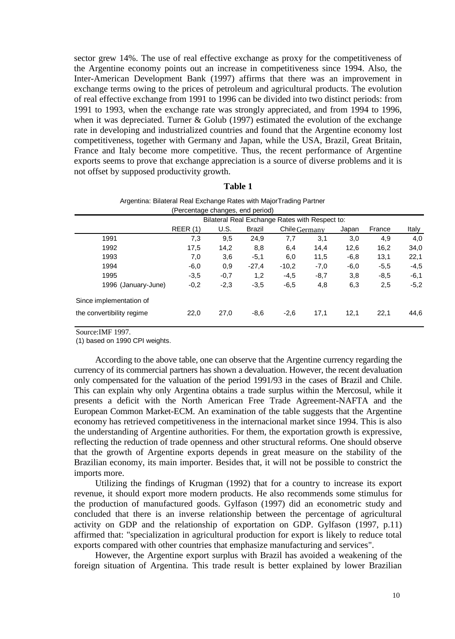sector grew 14%. The use of real effective exchange as proxy for the competitiveness of the Argentine economy points out an increase in competitiveness since 1994. Also, the Inter-American Development Bank (1997) affirms that there was an improvement in exchange terms owing to the prices of petroleum and agricultural products. The evolution of real effective exchange from 1991 to 1996 can be divided into two distinct periods: from 1991 to 1993, when the exchange rate was strongly appreciated, and from 1994 to 1996, when it was depreciated. Turner  $& Golub (1997)$  estimated the evolution of the exchange rate in developing and industrialized countries and found that the Argentine economy lost competitiveness, together with Germany and Japan, while the USA, Brazil, Great Britain, France and Italy become more competitive. Thus, the recent performance of Argentine exports seems to prove that exchange appreciation is a source of diverse problems and it is not offset by supposed productivity growth.

### **Table 1**

| ັ                         |                                  |        |               |                                                |        |        |        |        |
|---------------------------|----------------------------------|--------|---------------|------------------------------------------------|--------|--------|--------|--------|
|                           | (Percentage changes, end period) |        |               |                                                |        |        |        |        |
|                           |                                  |        |               | Bilateral Real Exchange Rates with Respect to: |        |        |        |        |
|                           | REER(1)                          | U.S.   | <b>Brazil</b> | Chile Germany                                  |        | Japan  | France | Italy  |
| 1991                      | 7,3                              | 9,5    | 24,9          | 7,7                                            | 3,1    | 3,0    | 4,9    | 4,0    |
| 1992                      | 17,5                             | 14,2   | 8,8           | 6,4                                            | 14,4   | 12,6   | 16,2   | 34,0   |
| 1993                      | 7,0                              | 3,6    | $-5,1$        | 6,0                                            | 11,5   | $-6,8$ | 13,1   | 22,1   |
| 1994                      | $-6,0$                           | 0,9    | $-27,4$       | $-10,2$                                        | $-7,0$ | $-6,0$ | $-5.5$ | $-4,5$ |
| 1995                      | $-3.5$                           | $-0,7$ | 1,2           | $-4,5$                                         | $-8,7$ | 3,8    | $-8,5$ | $-6,1$ |
| 1996 (January-June)       | $-0,2$                           | $-2,3$ | $-3,5$        | $-6,5$                                         | 4,8    | 6,3    | 2,5    | $-5,2$ |
| Since implementation of   |                                  |        |               |                                                |        |        |        |        |
| the convertibility regime | 22,0                             | 27,0   | $-8,6$        | $-2,6$                                         | 17,1   | 12,1   | 22,1   | 44,6   |
|                           |                                  |        |               |                                                |        |        |        |        |

| Argentina: Bilateral Real Exchange Rates with MajorTrading Partner |
|--------------------------------------------------------------------|
| (Percentage changes, end period)                                   |

Source:IMF 1997.

(1) based on 1990 CPI weights.

According to the above table, one can observe that the Argentine currency regarding the currency of its commercial partners has shown a devaluation. However, the recent devaluation only compensated for the valuation of the period 1991/93 in the cases of Brazil and Chile. This can explain why only Argentina obtains a trade surplus within the Mercosul, while it presents a deficit with the North American Free Trade Agreement-NAFTA and the European Common Market-ECM. An examination of the table suggests that the Argentine economy has retrieved competitiveness in the internacional market since 1994. This is also the understanding of Argentine authorities. For them, the exportation growth is expressive, reflecting the reduction of trade openness and other structural reforms. One should observe that the growth of Argentine exports depends in great measure on the stability of the Brazilian economy, its main importer. Besides that, it will not be possible to constrict the imports more.

Utilizing the findings of Krugman (1992) that for a country to increase its export revenue, it should export more modern products. He also recommends some stimulus for the production of manufactured goods. Gylfason (1997) did an econometric study and concluded that there is an inverse relationship between the percentage of agricultural activity on GDP and the relationship of exportation on GDP. Gylfason (1997, p.11) affirmed that: "specialization in agricultural production for export is likely to reduce total exports compared with other countries that emphasize manufacturing and services".

However, the Argentine export surplus with Brazil has avoided a weakening of the foreign situation of Argentina. This trade result is better explained by lower Brazilian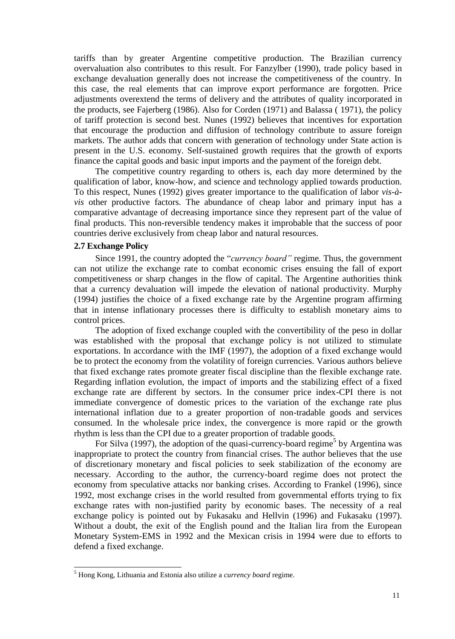tariffs than by greater Argentine competitive production. The Brazilian currency overvaluation also contributes to this result. For Fanzylber (1990), trade policy based in exchange devaluation generally does not increase the competitiveness of the country. In this case, the real elements that can improve export performance are forgotten. Price adjustments overextend the terms of delivery and the attributes of quality incorporated in the products, see Fajerberg (1986). Also for Corden (1971) and Balassa ( 1971), the policy of tariff protection is second best. Nunes (1992) believes that incentives for exportation that encourage the production and diffusion of technology contribute to assure foreign markets. The author adds that concern with generation of technology under State action is present in the U.S. economy. Self-sustained growth requires that the growth of exports finance the capital goods and basic input imports and the payment of the foreign debt.

The competitive country regarding to others is, each day more determined by the qualification of labor, know-how, and science and technology applied towards production. To this respect, Nunes (1992) gives greater importance to the qualification of labor *vis-àvis* other productive factors. The abundance of cheap labor and primary input has a comparative advantage of decreasing importance since they represent part of the value of final products. This non-reversible tendency makes it improbable that the success of poor countries derive exclusively from cheap labor and natural resources.

### **2.7 Exchange Policy**

l

Since 1991, the country adopted the "*currency board"* regime*.* Thus, the government can not utilize the exchange rate to combat economic crises ensuing the fall of export competitiveness or sharp changes in the flow of capital. The Argentine authorities think that a currency devaluation will impede the elevation of national productivity. Murphy (1994) justifies the choice of a fixed exchange rate by the Argentine program affirming that in intense inflationary processes there is difficulty to establish monetary aims to control prices.

The adoption of fixed exchange coupled with the convertibility of the peso in dollar was established with the proposal that exchange policy is not utilized to stimulate exportations. In accordance with the IMF (1997), the adoption of a fixed exchange would be to protect the economy from the volatility of foreign currencies. Various authors believe that fixed exchange rates promote greater fiscal discipline than the flexible exchange rate. Regarding inflation evolution, the impact of imports and the stabilizing effect of a fixed exchange rate are different by sectors. In the consumer price index-CPI there is not immediate convergence of domestic prices to the variation of the exchange rate plus international inflation due to a greater proportion of non-tradable goods and services consumed. In the wholesale price index, the convergence is more rapid or the growth rhythm is less than the CPI due to a greater proportion of tradable goods.

For Silva (1997), the adoption of the quasi-currency-board regime<sup>5</sup> by Argentina was inappropriate to protect the country from financial crises. The author believes that the use of discretionary monetary and fiscal policies to seek stabilization of the economy are necessary. According to the author, the currency-board regime does not protect the economy from speculative attacks nor banking crises. According to Frankel (1996), since 1992, most exchange crises in the world resulted from governmental efforts trying to fix exchange rates with non-justified parity by economic bases. The necessity of a real exchange policy is pointed out by Fukasaku and Hellvin (1996) and Fukasaku (1997). Without a doubt, the exit of the English pound and the Italian lira from the European Monetary System-EMS in 1992 and the Mexican crisis in 1994 were due to efforts to defend a fixed exchange.

<sup>5</sup> Hong Kong, Lithuania and Estonia also utilize a *currency board* regime.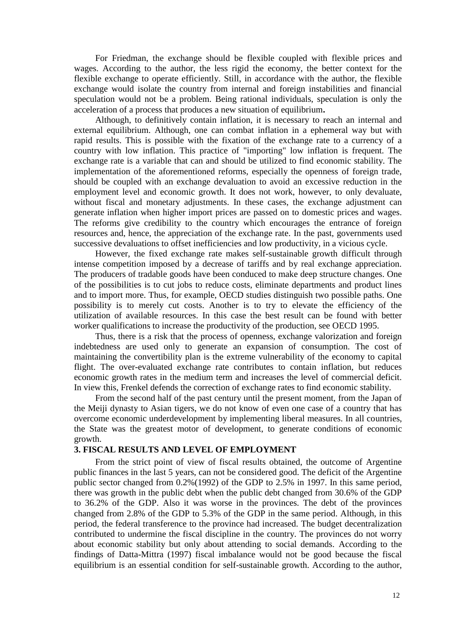For Friedman, the exchange should be flexible coupled with flexible prices and wages. According to the author, the less rigid the economy, the better context for the flexible exchange to operate efficiently. Still, in accordance with the author, the flexible exchange would isolate the country from internal and foreign instabilities and financial speculation would not be a problem. Being rational individuals, speculation is only the acceleration of a process that produces a new situation of equilibrium**.** 

Although, to definitively contain inflation, it is necessary to reach an internal and external equilibrium. Although, one can combat inflation in a ephemeral way but with rapid results. This is possible with the fixation of the exchange rate to a currency of a country with low inflation. This practice of "importing" low inflation is frequent. The exchange rate is a variable that can and should be utilized to find economic stability. The implementation of the aforementioned reforms, especially the openness of foreign trade, should be coupled with an exchange devaluation to avoid an excessive reduction in the employment level and economic growth. It does not work, however, to only devaluate, without fiscal and monetary adjustments. In these cases, the exchange adjustment can generate inflation when higher import prices are passed on to domestic prices and wages. The reforms give credibility to the country which encourages the entrance of foreign resources and, hence, the appreciation of the exchange rate. In the past, governments used successive devaluations to offset inefficiencies and low productivity, in a vicious cycle.

However, the fixed exchange rate makes self-sustainable growth difficult through intense competition imposed by a decrease of tariffs and by real exchange appreciation. The producers of tradable goods have been conduced to make deep structure changes. One of the possibilities is to cut jobs to reduce costs, eliminate departments and product lines and to import more. Thus, for example, OECD studies distinguish two possible paths. One possibility is to merely cut costs. Another is to try to elevate the efficiency of the utilization of available resources. In this case the best result can be found with better worker qualifications to increase the productivity of the production, see OECD 1995.

Thus, there is a risk that the process of openness, exchange valorization and foreign indebtedness are used only to generate an expansion of consumption. The cost of maintaining the convertibility plan is the extreme vulnerability of the economy to capital flight. The over-evaluated exchange rate contributes to contain inflation, but reduces economic growth rates in the medium term and increases the level of commercial deficit. In view this, Frenkel defends the correction of exchange rates to find economic stability.

From the second half of the past century until the present moment, from the Japan of the Meiji dynasty to Asian tigers, we do not know of even one case of a country that has overcome economic underdevelopment by implementing liberal measures. In all countries, the State was the greatest motor of development, to generate conditions of economic growth.

### **3. FISCAL RESULTS AND LEVEL OF EMPLOYMENT**

From the strict point of view of fiscal results obtained, the outcome of Argentine public finances in the last 5 years, can not be considered good. The deficit of the Argentine public sector changed from 0.2%(1992) of the GDP to 2.5% in 1997. In this same period, there was growth in the public debt when the public debt changed from 30.6% of the GDP to 36.2% of the GDP. Also it was worse in the provinces. The debt of the provinces changed from 2.8% of the GDP to 5.3% of the GDP in the same period. Although, in this period, the federal transference to the province had increased. The budget decentralization contributed to undermine the fiscal discipline in the country. The provinces do not worry about economic stability but only about attending to social demands. According to the findings of Datta-Mittra (1997) fiscal imbalance would not be good because the fiscal equilibrium is an essential condition for self-sustainable growth. According to the author,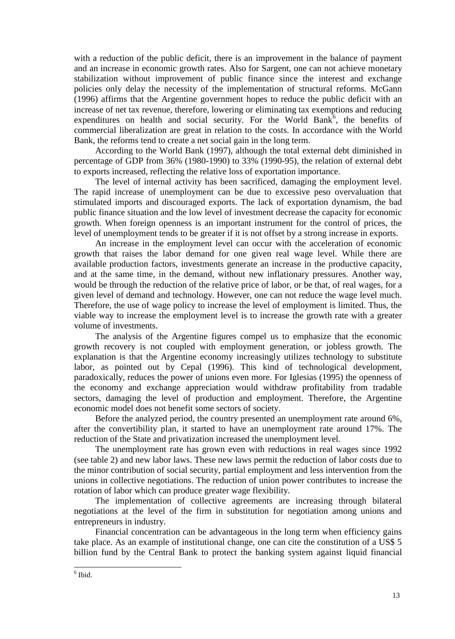with a reduction of the public deficit, there is an improvement in the balance of payment and an increase in economic growth rates. Also for Sargent, one can not achieve monetary stabilization without improvement of public finance since the interest and exchange policies only delay the necessity of the implementation of structural reforms. McGann (1996) affirms that the Argentine government hopes to reduce the public deficit with an increase of net tax revenue, therefore, lowering or eliminating tax exemptions and reducing expenditures on health and social security. For the World Bank<sup>6</sup>, the benefits of commercial liberalization are great in relation to the costs. In accordance with the World Bank, the reforms tend to create a net social gain in the long term.

According to the World Bank (1997), although the total external debt diminished in percentage of GDP from 36% (1980-1990) to 33% (1990-95), the relation of external debt to exports increased, reflecting the relative loss of exportation importance.

The level of internal activity has been sacrificed, damaging the employment level. The rapid increase of unemployment can be due to excessive peso overvaluation that stimulated imports and discouraged exports. The lack of exportation dynamism, the bad public finance situation and the low level of investment decrease the capacity for economic growth. When foreign openness is an important instrument for the control of prices, the level of unemployment tends to be greater if it is not offset by a strong increase in exports.

An increase in the employment level can occur with the acceleration of economic growth that raises the labor demand for one given real wage level. While there are available production factors, investments generate an increase in the productive capacity, and at the same time, in the demand, without new inflationary pressures. Another way, would be through the reduction of the relative price of labor, or be that, of real wages, for a given level of demand and technology. However, one can not reduce the wage level much. Therefore, the use of wage policy to increase the level of employment is limited. Thus, the viable way to increase the employment level is to increase the growth rate with a greater volume of investments.

The analysis of the Argentine figures compel us to emphasize that the economic growth recovery is not coupled with employment generation, or jobless growth. The explanation is that the Argentine economy increasingly utilizes technology to substitute labor, as pointed out by Cepal (1996). This kind of technological development, paradoxically, reduces the power of unions even more. For Iglesias (1995) the openness of the economy and exchange appreciation would withdraw profitability from tradable sectors, damaging the level of production and employment. Therefore, the Argentine economic model does not benefit some sectors of society.

Before the analyzed period, the country presented an unemployment rate around 6%, after the convertibility plan, it started to have an unemployment rate around 17%. The reduction of the State and privatization increased the unemployment level.

The unemployment rate has grown even with reductions in real wages since 1992 (see table 2) and new labor laws. These new laws permit the reduction of labor costs due to the minor contribution of social security, partial employment and less intervention from the unions in collective negotiations. The reduction of union power contributes to increase the rotation of labor which can produce greater wage flexibility.

The implementation of collective agreements are increasing through bilateral negotiations at the level of the firm in substitution for negotiation among unions and entrepreneurs in industry.

Financial concentration can be advantageous in the long term when efficiency gains take place. As an example of institutional change, one can cite the constitution of a US\$ 5 billion fund by the Central Bank to protect the banking system against liquid financial

l

<sup>6</sup> Ibid.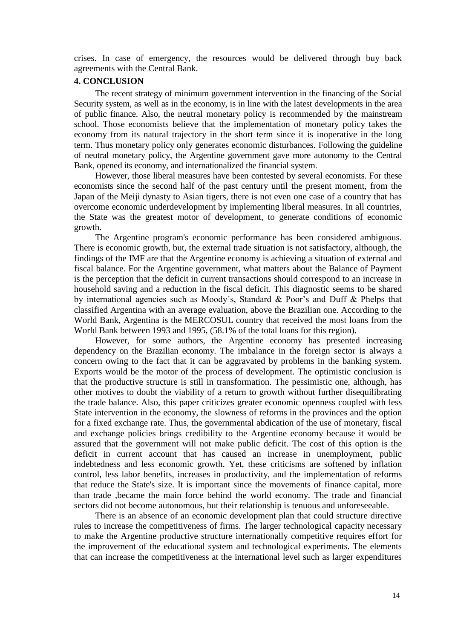crises. In case of emergency, the resources would be delivered through buy back agreements with the Central Bank.

### **4. CONCLUSION**

The recent strategy of minimum government intervention in the financing of the Social Security system, as well as in the economy, is in line with the latest developments in the area of public finance. Also, the neutral monetary policy is recommended by the mainstream school. Those economists believe that the implementation of monetary policy takes the economy from its natural trajectory in the short term since it is inoperative in the long term. Thus monetary policy only generates economic disturbances. Following the guideline of neutral monetary policy, the Argentine government gave more autonomy to the Central Bank, opened its economy, and internationalized the financial system.

However, those liberal measures have been contested by several economists. For these economists since the second half of the past century until the present moment, from the Japan of the Meiji dynasty to Asian tigers, there is not even one case of a country that has overcome economic underdevelopment by implementing liberal measures. In all countries, the State was the greatest motor of development, to generate conditions of economic growth.

The Argentine program's economic performance has been considered ambiguous. There is economic growth, but, the external trade situation is not satisfactory, although, the findings of the IMF are that the Argentine economy is achieving a situation of external and fiscal balance. For the Argentine government, what matters about the Balance of Payment is the perception that the deficit in current transactions should correspond to an increase in household saving and a reduction in the fiscal deficit. This diagnostic seems to be shared by international agencies such as Moody´s, Standard & Poor's and Duff & Phelps that classified Argentina with an average evaluation, above the Brazilian one. According to the World Bank, Argentina is the MERCOSUL country that received the most loans from the World Bank between 1993 and 1995, (58.1% of the total loans for this region).

However, for some authors, the Argentine economy has presented increasing dependency on the Brazilian economy. The imbalance in the foreign sector is always a concern owing to the fact that it can be aggravated by problems in the banking system. Exports would be the motor of the process of development. The optimistic conclusion is that the productive structure is still in transformation. The pessimistic one, although, has other motives to doubt the viability of a return to growth without further disequilibrating the trade balance. Also, this paper criticizes greater economic openness coupled with less State intervention in the economy, the slowness of reforms in the provinces and the option for a fixed exchange rate. Thus, the governmental abdication of the use of monetary, fiscal and exchange policies brings credibility to the Argentine economy because it would be assured that the government will not make public deficit. The cost of this option is the deficit in current account that has caused an increase in unemployment, public indebtedness and less economic growth. Yet, these criticisms are softened by inflation control, less labor benefits, increases in productivity, and the implementation of reforms that reduce the State's size. It is important since the movements of finance capital, more than trade ,became the main force behind the world economy. The trade and financial sectors did not become autonomous, but their relationship is tenuous and unforeseeable.

There is an absence of an economic development plan that could structure directive rules to increase the competitiveness of firms. The larger technological capacity necessary to make the Argentine productive structure internationally competitive requires effort for the improvement of the educational system and technological experiments. The elements that can increase the competitiveness at the international level such as larger expenditures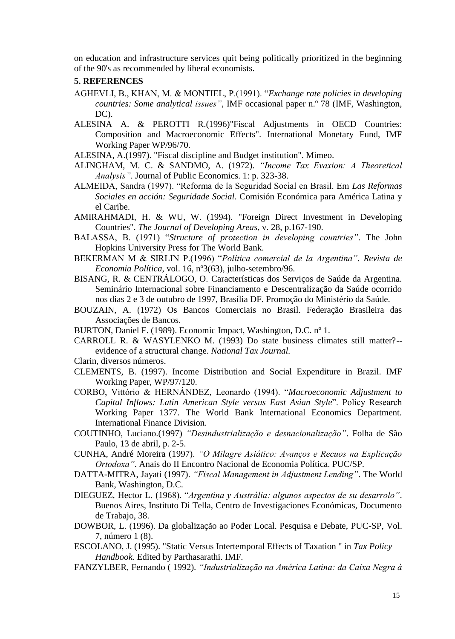on education and infrastructure services quit being politically prioritized in the beginning of the 90's as recommended by liberal economists.

## **5. REFERENCES**

- AGHEVLI, B., KHAN, M. & MONTIEL, P.(1991). "*Exchange rate policies in developing countries: Some analytical issues"*, IMF occasional paper n.º 78 (IMF, Washington, DC).
- ALESINA A. & PEROTTI R.(1996)"Fiscal Adjustments in OECD Countries: Composition and Macroeconomic Effects". International Monetary Fund, IMF Working Paper WP/96/70.
- ALESINA, A.(1997). "Fiscal discipline and Budget institution". Mimeo.
- ALINGHAM, M. C. & SANDMO, A. (1972). *"Income Tax Evaxion: A Theoretical Analysis"*. Journal of Public Economics. 1: p. 323-38.
- ALMEIDA, Sandra (1997). "Reforma de la Seguridad Social en Brasil. Em *Las Reformas Sociales en acción: Seguridade Social*. Comisión Económica para América Latina y el Caribe.
- AMIRAHMADI, H. & WU, W. (1994). "Foreign Direct Investment in Developing Countries". *The Journal of Developing Areas*, v. 28, p.167-190.
- BALASSA, B. (1971) "*Structure of protection in developing countries"*. The John Hopkins University Press for The World Bank.
- BEKERMAN M & SIRLIN P.(1996) "*Política comercial de la Argentina"*. *Revista de Economia Política*, vol. 16, nº3(63), julho-setembro/96.
- BISANG, R. & CENTRÁLOGO, O. Características dos Serviços de Saúde da Argentina. Seminário Internacional sobre Financiamento e Descentralização da Saúde ocorrido nos dias 2 e 3 de outubro de 1997, Brasília DF. Promoção do Ministério da Saúde.
- BOUZAIN, A. (1972) Os Bancos Comerciais no Brasil. Federação Brasileira das Associações de Bancos.
- BURTON, Daniel F. (1989). Economic Impact, Washington, D.C. nº 1.
- CARROLL R. & WASYLENKO M. (1993) Do state business climates still matter?- evidence of a structural change. *National Tax Journal.*
- Clarin, diversos números.
- CLEMENTS, B. (1997). Income Distribution and Social Expenditure in Brazil. IMF Working Paper, WP/97/120.
- CORBO, Vittório & HERNÁNDEZ, Leonardo (1994). "*Macroeconomic Adjustment to Capital Inflows: Latin American Style versus East Asian Style*". Policy Research Working Paper 1377. The World Bank International Economics Department. International Finance Division.
- COUTINHO, Luciano.(1997) *"Desindustrialização e desnacionalização"*. Folha de São Paulo, 13 de abril, p. 2-5.
- CUNHA, André Moreira (1997). *"O Milagre Asiático: Avanços e Recuos na Explicação Ortodoxa"*. Anais do II Encontro Nacional de Economia Política. PUC/SP.
- DATTA-MITRA, Jayati (1997). *"Fiscal Management in Adjustment Lending"*. The World Bank, Washington, D.C.
- DIEGUEZ, Hector L. (1968). "*Argentina y Austrália: algunos aspectos de su desarrolo"*. Buenos Aires, Instituto Di Tella, Centro de Investigaciones Económicas, Documento de Trabajo, 38.
- DOWBOR, L. (1996). Da globalização ao Poder Local. Pesquisa e Debate, PUC-SP, Vol. 7, número 1 (8).
- ESCOLANO, J. (1995). "Static Versus Intertemporal Effects of Taxation " in *Tax Policy Handbook*. Edited by Parthasarathi. IMF.
- FANZYLBER, Fernando ( 1992). *"Industrialização na América Latina: da Caixa Negra à*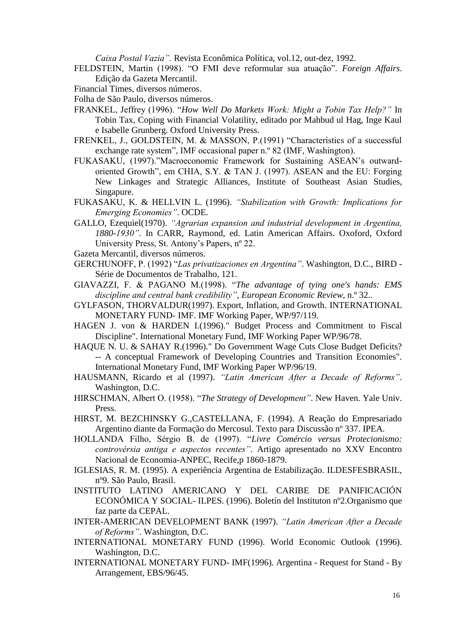*Caixa Postal Vazia".* Revista Econômica Política, vol.12, out-dez, 1992.

- FELDSTEIN, Martin (1998). "O FMI deve reformular sua atuação". *Foreign Affairs*. Edição da Gazeta Mercantil.
- Financial Times, diversos números.
- Folha de São Paulo, diversos números.
- FRANKEL, Jeffrey (1996). "*How Well Do Markets Work: Might a Tobin Tax Help?"* In Tobin Tax, Coping with Financial Volatility, editado por Mahbud ul Hag, Inge Kaul e Isabelle Grunberg. Oxford University Press.
- FRENKEL, J., GOLDSTEIN, M. & MASSON, P.(1991) "Characteristics of a successful exchange rate system", IMF occasional paper n.º 82 (IMF, Washington).
- FUKASAKU, (1997)."Macroeconomic Framework for Sustaining ASEAN's outwardoriented Growth", em CHIA, S.Y. & TAN J. (1997). ASEAN and the EU: Forging New Linkages and Strategic Alliances, Institute of Southeast Asian Studies, Singapure.
- FUKASAKU, K. & HELLVIN L. (1996). *"Stabilization with Growth: Implications for Emerging Economies"*. OCDE.
- GALLO, Ezequiel(1970). *"Agrarian expansion and industrial development in Argentina, 1880-1930"*. In CARR, Raymond, ed. Latin American Affairs. Oxoford, Oxford University Press, St. Antony's Papers, nº 22.
- Gazeta Mercantil, diversos números.
- GERCHUNOFF, P. (1992) "*Las privatizaciones en Argentina"*. Washington, D.C., BIRD Série de Documentos de Trabalho, 121.
- GIAVAZZI, F. & PAGANO M.(1998). "*The advantage of tying one's hands: EMS discipline and central bank credibility"*, *European Economic Review*, n.º 32..
- GYLFASON, THORVALDUR(1997). Export, Inflation, and Growth. INTERNATIONAL MONETARY FUND- IMF. IMF Working Paper, WP/97/119.
- HAGEN J. von & HARDEN I.(1996)." Budget Process and Commitment to Fiscal Discipline". International Monetary Fund, IMF Working Paper WP/96/78.
- HAQUE N. U. & SAHAY R.(1996)." Do Government Wage Cuts Close Budget Deficits? -- A conceptual Framework of Developing Countries and Transition Economies". International Monetary Fund, IMF Working Paper WP/96/19.
- HAUSMANN, Ricardo et al (1997). *"Latin American After a Decade of Reforms"*. Washington, D.C.
- HIRSCHMAN, Albert O. (1958). "*The Strategy of Development"*. New Haven. Yale Univ. Press.
- HIRST, M. BEZCHINSKY G.,CASTELLANA, F. (1994). A Reação do Empresariado Argentino diante da Formação do Mercosul. Texto para Discussão nº 337. IPEA.
- HOLLANDA Filho, Sérgio B. de (1997). "*Livre Comércio versus Protecionismo: controvérsia antiga e aspectos recentes"*. Artigo apresentado no XXV Encontro Nacional de Economia-ANPEC, Recife,p 1860-1879.
- IGLESIAS, R. M. (1995). A experiência Argentina de Estabilização. ILDESFESBRASIL, nº9. São Paulo, Brasil.
- INSTITUTO LATINO AMERICANO Y DEL CARIBE DE PANIFICACIÓN ECONÓMICA Y SOCIAL- ILPES. (1996). Boletín del Instituton nº2.Organismo que faz parte da CEPAL.
- INTER-AMERICAN DEVELOPMENT BANK (1997). *"Latin American After a Decade of Reforms"*. Washington, D.C.
- INTERNATIONAL MONETARY FUND (1996). World Economic Outlook (1996). Washington, D.C.
- INTERNATIONAL MONETARY FUND- IMF(1996). Argentina Request for Stand By Arrangement, EBS/96/45.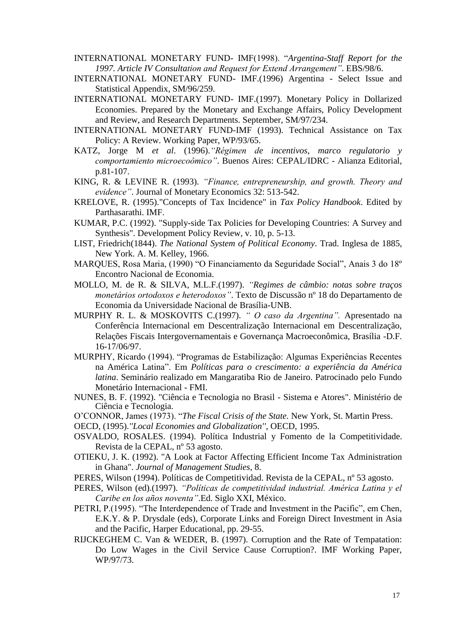- INTERNATIONAL MONETARY FUND- IMF(1998). "*Argentina-Staff Report for the 1997. Article IV Consultation and Request for Extend Arrangement"*. EBS/98/6.
- INTERNATIONAL MONETARY FUND- IMF.(1996) Argentina Select Issue and Statistical Appendix, SM/96/259.
- INTERNATIONAL MONETARY FUND- IMF.(1997). Monetary Policy in Dollarized Economies. Prepared by the Monetary and Exchange Affairs, Policy Development and Review, and Research Departments. September, SM/97/234.
- INTERNATIONAL MONETARY FUND-IMF (1993). Technical Assistance on Tax Policy: A Review. Working Paper, WP/93/65.
- KATZ, Jorge M *et al*. (1996).*"Régimen de incentivos, marco regulatorio y comportamiento microecoômico"*. Buenos Aires: CEPAL/IDRC - Alianza Editorial, p.81-107.
- KING, R. & LEVINE R. (1993). *"Finance, entrepreneurship, and growth. Theory and evidence"*. Journal of Monetary Economics 32: 513-542.
- KRELOVE, R. (1995)."Concepts of Tax Incidence" in *Tax Policy Handbook*. Edited by Parthasarathi. IMF.
- KUMAR, P.C. (1992). "Supply-side Tax Policies for Developing Countries: A Survey and Synthesis". Development Policy Review, v. 10, p. 5-13.
- LIST, Friedrich(1844). *The National System of Political Economy*. Trad. Inglesa de 1885, New York. A. M. Kelley, 1966.
- MARQUES, Rosa Maria, (1990) "O Financiamento da Seguridade Social", Anais 3 do 18º Encontro Nacional de Economia.
- MOLLO, M. de R. & SILVA, M.L.F.(1997). *"Regimes de câmbio: notas sobre traços monetários ortodoxos e heterodoxos"*. Texto de Discussão nº 18 do Departamento de Economia da Universidade Nacional de Brasília-UNB.
- MURPHY R. L. & MOSKOVITS C.(1997). *" O caso da Argentina".* Apresentado na Conferência Internacional em Descentralização Internacional em Descentralização, Relações Fiscais Intergovernamentais e Governança Macroeconômica, Brasília -D.F. 16-17/06/97.
- MURPHY, Ricardo (1994). "Programas de Estabilização: Algumas Experiências Recentes na América Latina". Em *Políticas para o crescimento: a experiência da América latina*. Seminário realizado em Mangaratiba Rio de Janeiro. Patrocinado pelo Fundo Monetário Internacional - FMI.
- NUNES, B. F. (1992). "Ciência e Tecnologia no Brasil Sistema e Atores". Ministério de Ciência e Tecnologia.
- O'CONNOR, James (1973). "*The Fiscal Crisis of the State.* New York, St. Martin Press.
- OECD, (1995).*''Local Economies and Globalization''*, OECD, 1995.
- OSVALDO, ROSALES. (1994). Política Industrial y Fomento de la Competitividade. Revista de la CEPAL, nº 53 agosto.
- OTIEKU, J. K. (1992). "A Look at Factor Affecting Efficient Income Tax Administration in Ghana". *Journal of Management Studies*, 8.
- PERES, Wilson (1994). Políticas de Competitividad. Revista de la CEPAL, nº 53 agosto.
- PERES, Wilson (ed).(1997). *"Políticas de competitividad industrial. América Latina y el Caribe en los años noventa"*.Ed. Siglo XXI, México.
- PETRI, P.(1995). "The Interdependence of Trade and Investment in the Pacific", em Chen, E.K.Y. & P. Drysdale (eds), Corporate Links and Foreign Direct Investment in Asia and the Pacific, Harper Educational, pp. 29-55.
- RIJCKEGHEM C. Van & WEDER, B. (1997). Corruption and the Rate of Tempatation: Do Low Wages in the Civil Service Cause Corruption?. IMF Working Paper, WP/97/73.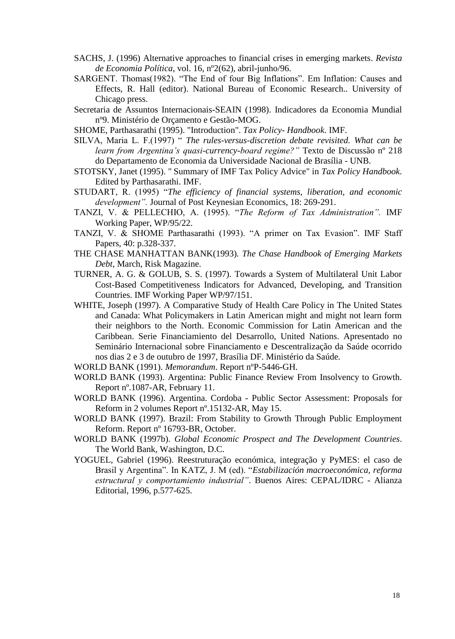- SACHS, J. (1996) Alternative approaches to financial crises in emerging markets. *Revista de Economia Política*, vol. 16, nº2(62), abril-junho/96.
- SARGENT. Thomas(1982). "The End of four Big Inflations". Em Inflation: Causes and Effects, R. Hall (editor). National Bureau of Economic Research.. University of Chicago press.
- Secretaria de Assuntos Internacionais-SEAIN (1998). Indicadores da Economia Mundial nº9. Ministério de Orçamento e Gestão-MOG.
- SHOME, Parthasarathi (1995). "Introduction". *Tax Policy- Handbook*. IMF.
- SILVA, Maria L. F.(1997) " *The rules-versus-discretion debate revisited. What can be learn from Argentina's quasi-currency-board regime?"* Texto de Discussão nº 218 do Departamento de Economia da Universidade Nacional de Brasília - UNB.
- STOTSKY, Janet (1995). " Summary of IMF Tax Policy Advice" in *Tax Policy Handbook*. Edited by Parthasarathi. IMF.
- STUDART, R. (1995) "*The efficiency of financial systems, liberation, and economic development".* Journal of Post Keynesian Economics, 18: 269-291.
- TANZI, V. & PELLECHIO, A. (1995). "*The Reform of Tax Administration".* IMF Working Paper, WP/95/22.
- TANZI, V. & SHOME Parthasarathi (1993). "A primer on Tax Evasion". IMF Staff Papers, 40: p.328-337.
- THE CHASE MANHATTAN BANK(1993)*. The Chase Handbook of Emerging Markets Debt*, March, Risk Magazine.
- TURNER, A. G. & GOLUB, S. S. (1997). Towards a System of Multilateral Unit Labor Cost-Based Competitiveness Indicators for Advanced, Developing, and Transition Countries. IMF Working Paper WP/97/151.
- WHITE, Joseph (1997). A Comparative Study of Health Care Policy in The United States and Canada: What Policymakers in Latin American might and might not learn form their neighbors to the North. Economic Commission for Latin American and the Caribbean. Serie Financiamiento del Desarrollo, United Nations. Apresentado no Seminário Internacional sobre Financiamento e Descentralização da Saúde ocorrido nos dias 2 e 3 de outubro de 1997, Brasília DF. Ministério da Saúde.

WORLD BANK (1991). *Memorandum*. Report nºP-5446-GH.

- WORLD BANK (1993). Argentina: Public Finance Review From Insolvency to Growth. Report nº.1087-AR, February 11.
- WORLD BANK (1996). Argentina. Cordoba Public Sector Assessment: Proposals for Reform in 2 volumes Report nº.15132-AR, May 15.
- WORLD BANK (1997). Brazil: From Stability to Growth Through Public Employment Reform. Report nº 16793-BR, October.
- WORLD BANK (1997b). *Global Economic Prospect and The Development Countries*. The World Bank, Washington, D.C.
- YOGUEL, Gabriel (1996). Reestruturação económica, integração y PyMES: el caso de Brasil y Argentina". In KATZ, J. M (ed). "*Estabilización macroeconómica, reforma estructural y comportamiento industrial"*. Buenos Aires: CEPAL/IDRC - Alianza Editorial, 1996, p.577-625.